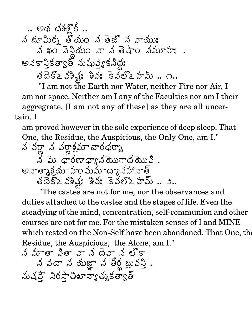$\therefore$  అథ దశశోకీ .. న భూమీర్న తోయం న తెజొ న వాయుః<br>న ఖం నెన్డియం వా న తెషాం నమూహః . అనెకానికత్వాత్ నుష్యుకనీద్రః  $32.53$ 2  $33.5.35.55$   $3.5.55.5.7.7$ 

"I am not the Earth nor Water, neither Fire nor Air, I am not space. Neither am I any of the Faculties nor am I their aggregrate. [I am not any of these] as they are all uncertain. I

am proved however in the sole experience of deep sleep. That One, the Residue, the Auspicious, the Only One, am I."

"The castes are not for me, nor the observances and duties attached to the castes and the stages of life. Even the steadying of the mind, concentration, self-communion and other courses are not for me. For the mistaken senses of I and MINE which rested on the Non-Self have been abondoned. That One, the Residue, the Auspicious, the Alone, am I."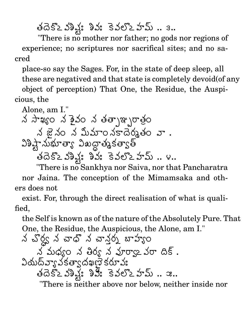తదెకొఽవశిష్ట్ల శివః కెవలొఽహమ్ .. ౩..

"There is no mother nor father; no gods nor regions of experience; no scriptures nor sacrifical sites; and no sacred

place-so say the Sages. For, in the state of deep sleep, all these are negatived and that state is completely devoid (of any object of perception) That One, the Residue, the Auspi-

cious, the

Alone, am I." த் சுவில் ஜாஜ் ஜாஜ் ஜாஜ் ஜாஜ் ஜாஜ் ஜாஜ் திரை ஜாஜ் திரை  $\lambda$  జై నం న మీమాం నకాదెర్మతం వా. విశిష్టా నుభూత్యా విఖద్దా తృకత్వాత్ తదెకొఽవిశ్లే: శివ: కెవలొఽహమ్ .. ౪..

"There is no Sankhya nor Saiva, nor that Pancharatra nor Jaina. The conception of the Mimamsaka and others does not

exist. For, through the direct realisation of what is qualified.

the Self is known as of the nature of the Absolutely Pure. That One, the Residue, the Auspicious, the Alone, am I."

There is neither above nor below, neither inside nor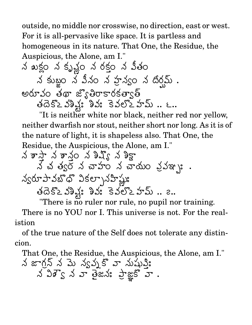outside, no middle nor crosswise, no direction, east or west. For it is all-pervasive like space. It is partless and homogeneous in its nature. That One, the Residue, the Auspicious, the Alone, am I."

 eS K BI 0 5,=W -^ 5, W /( +,2 -F4 5,W =\* <sup>6</sup> Y!\*\* \*234 = ?>8@ ,ACBD " AC,E" ,@ / -F4 .

"It is neither white nor black, neither red nor yellow, neither dwarfish nor stout, neither short nor long. As it is of the nature of light, it is shapeless also. That One, the Residue, the Auspicious, the Alone, am I."

 \* d0\* \* +,0 ( A%)=>6 A \* L =2 LM\*/ L\* 5:( 5,S" +:2 a\* , NQ> S+,/9 <sup>I</sup> " = ?>8@ ,ACBD " AC,E" ,@ / -F4 

"There is no ruler nor rule, no pupil nor training. There is no YOU nor I. This universe is not. For the realistion

of the true nature of the Self does not tolerate any distincion.

That One, the Residue, the Auspicious, the Alone, am I." న జాగ్రన్ న మె న్యవుకొ వా నుషుక్తి:  $\lambda$   $\lambda$   $\beta$   $\zeta$   $\lambda$   $\varpi$   $\vartheta$   $\alpha$   $\lambda$   $\vartheta$   $\vartheta$   $\vartheta$   $\vartheta$   $\vartheta$   $\vartheta$   $\vartheta$   $\vartheta$   $\vartheta$   $\vartheta$   $\vartheta$   $\vartheta$ ?>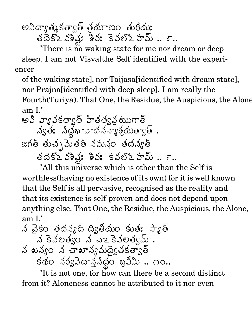అవిద్యాత్మకత్వాత్ త్రమాణం తురీయః తదెకొఽవశిష్ఠః శివః కెవలొఽహమ్ .. శా..

"There is no waking state for me nor dream or deep sleep. I am not Visvalthe Self identified with the experiencer

of the waking state], nor Taijasa[identified with dream state], nor Prajnalidentified with deep sleep. I am really the Fourth (Turiya). That One, the Residue, the Auspicious, the Alone  $am I."$ 

అవి వ్యావకత్వాత్ హితత్వవముగాత్ న్యత: నిద్దభావాదనన్యాశ్రమత్వాత్ . జగత్ తుచ్చపెుతత్ నమన్తం తదన్యత్ తదెకొఽవశిష్ట్ల శివ: కెవలొఽహమ్.. ౯..

"All this universe which is other than the Self is worthless (having no existence of its own) for it is well known that the Self is all pervasive, recognised as the reality and that its existence is self-proven and does not depend upon anything else. That One, the Residue, the Auspicious, the Alone,  $am I."$ 

"It is not one, for how can there be a second distinct from it? Aloneness cannot be attributed to it nor even